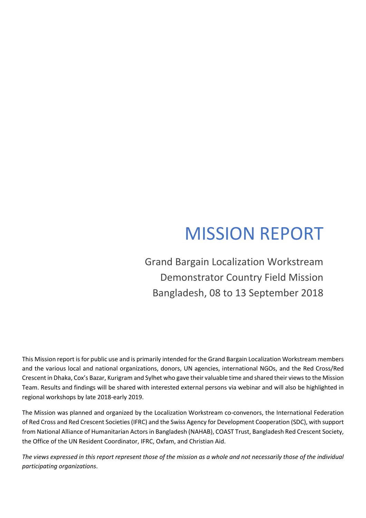# MISSION REPORT

Grand Bargain Localization Workstream Demonstrator Country Field Mission Bangladesh, 08 to 13 September 2018

This Mission report is for public use and is primarily intended for the Grand Bargain Localization Workstream members and the various local and national organizations, donors, UN agencies, international NGOs, and the Red Cross/Red Crescent in Dhaka, Cox's Bazar, Kurigram and Sylhet who gave their valuable time and shared their views to the Mission Team. Results and findings will be shared with interested external persons via webinar and will also be highlighted in regional workshops by late 2018-early 2019.

The Mission was planned and organized by the Localization Workstream co-convenors, the International Federation of Red Cross and Red Crescent Societies (IFRC) and the Swiss Agency for Development Cooperation (SDC), with support from National Alliance of Humanitarian Actors in Bangladesh (NAHAB), COAST Trust, Bangladesh Red Crescent Society, the Office of the UN Resident Coordinator, IFRC, Oxfam, and Christian Aid.

*The views expressed in this report represent those of the mission as a whole and not necessarily those of the individual participating organizations*.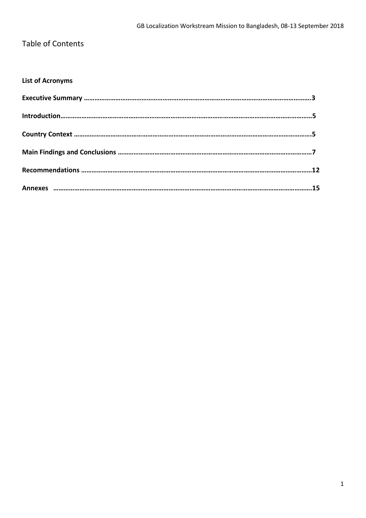## Table of Contents

## **List of Acronyms**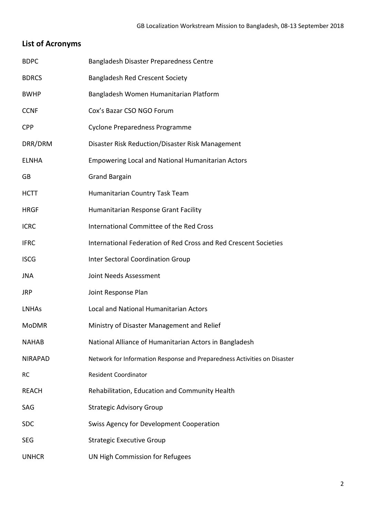## **List of Acronyms**

| <b>BDPC</b>    | Bangladesh Disaster Preparedness Centre                                  |
|----------------|--------------------------------------------------------------------------|
| <b>BDRCS</b>   | <b>Bangladesh Red Crescent Society</b>                                   |
| <b>BWHP</b>    | Bangladesh Women Humanitarian Platform                                   |
| <b>CCNF</b>    | Cox's Bazar CSO NGO Forum                                                |
| <b>CPP</b>     | <b>Cyclone Preparedness Programme</b>                                    |
| DRR/DRM        | Disaster Risk Reduction/Disaster Risk Management                         |
| <b>ELNHA</b>   | <b>Empowering Local and National Humanitarian Actors</b>                 |
| GB             | <b>Grand Bargain</b>                                                     |
| <b>HCTT</b>    | Humanitarian Country Task Team                                           |
| <b>HRGF</b>    | Humanitarian Response Grant Facility                                     |
| <b>ICRC</b>    | International Committee of the Red Cross                                 |
| <b>IFRC</b>    | International Federation of Red Cross and Red Crescent Societies         |
| <b>ISCG</b>    | <b>Inter Sectoral Coordination Group</b>                                 |
| JNA            | Joint Needs Assessment                                                   |
| <b>JRP</b>     | Joint Response Plan                                                      |
| <b>LNHAs</b>   | Local and National Humanitarian Actors                                   |
| <b>MoDMR</b>   | Ministry of Disaster Management and Relief                               |
| <b>NAHAB</b>   | National Alliance of Humanitarian Actors in Bangladesh                   |
| <b>NIRAPAD</b> | Network for Information Response and Preparedness Activities on Disaster |
| RC             | <b>Resident Coordinator</b>                                              |
| <b>REACH</b>   | Rehabilitation, Education and Community Health                           |
| SAG            | <b>Strategic Advisory Group</b>                                          |
| <b>SDC</b>     | <b>Swiss Agency for Development Cooperation</b>                          |
| <b>SEG</b>     | <b>Strategic Executive Group</b>                                         |
| <b>UNHCR</b>   | UN High Commission for Refugees                                          |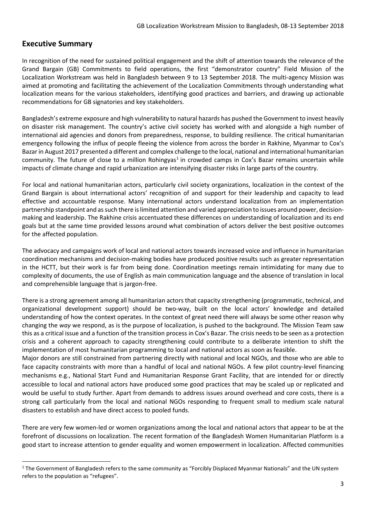### **Executive Summary**

**.** 

In recognition of the need for sustained political engagement and the shift of attention towards the relevance of the Grand Bargain (GB) Commitments to field operations, the first "demonstrator country" Field Mission of the Localization Workstream was held in Bangladesh between 9 to 13 September 2018. The multi-agency Mission was aimed at promoting and facilitating the achievement of the Localization Commitments through understanding what localization means for the various stakeholders, identifying good practices and barriers, and drawing up actionable recommendations for GB signatories and key stakeholders.

Bangladesh's extreme exposure and high vulnerability to natural hazards has pushed the Government to invest heavily on disaster risk management. The country's active civil society has worked with and alongside a high number of international aid agencies and donors from preparedness, response, to building resilience. The critical humanitarian emergency following the influx of people fleeing the violence from across the border in Rakhine, Myanmar to Cox's Bazar in August 2017 presented a different and complex challenge to the local, national and international humanitarian community. The future of close to a million Rohingyas<sup>1</sup> in crowded camps in Cox's Bazar remains uncertain while impacts of climate change and rapid urbanization are intensifying disaster risks in large parts of the country.

For local and national humanitarian actors, particularly civil society organizations, localization in the context of the Grand Bargain is about international actors' recognition of and support for their leadership and capacity to lead effective and accountable response. Many international actors understand localization from an implementation partnership standpoint and as such there is limited attention and varied appreciation to issues around power, decisionmaking and leadership. The Rakhine crisis accentuated these differences on understanding of localization and its end goals but at the same time provided lessons around what combination of actors deliver the best positive outcomes for the affected population.

The advocacy and campaigns work of local and national actors towards increased voice and influence in humanitarian coordination mechanisms and decision-making bodies have produced positive results such as greater representation in the HCTT, but their work is far from being done. Coordination meetings remain intimidating for many due to complexity of documents, the use of English as main communication language and the absence of translation in local and comprehensible language that is jargon-free.

There is a strong agreement among all humanitarian actors that capacity strengthening (programmatic, technical, and organizational development support) should be two-way, built on the local actors' knowledge and detailed understanding of how the context operates. In the context of great need there will always be some other reason why changing the *way* we respond, as is the purpose of localization, is pushed to the background. The Mission Team saw this as a critical issue and a function of the transition process in Cox's Bazar. The crisis needs to be seen as a protection crisis and a coherent approach to capacity strengthening could contribute to a deliberate intention to shift the implementation of most humanitarian programming to local and national actors as soon as feasible.

Major donors are still constrained from partnering directly with national and local NGOs, and those who are able to face capacity constraints with more than a handful of local and national NGOs. A few pilot country-level financing mechanisms e.g., National Start Fund and Humanitarian Response Grant Facility, that are intended for or directly accessible to local and national actors have produced some good practices that may be scaled up or replicated and would be useful to study further. Apart from demands to address issues around overhead and core costs, there is a strong call particularly from the local and national NGOs responding to frequent small to medium scale natural disasters to establish and have direct access to pooled funds.

There are very few women-led or women organizations among the local and national actors that appear to be at the forefront of discussions on localization. The recent formation of the Bangladesh Women Humanitarian Platform is a good start to increase attention to gender equality and women empowerment in localization. Affected communities

<sup>&</sup>lt;sup>1</sup> The Government of Bangladesh refers to the same community as "Forcibly Displaced Myanmar Nationals" and the UN system refers to the population as "refugees".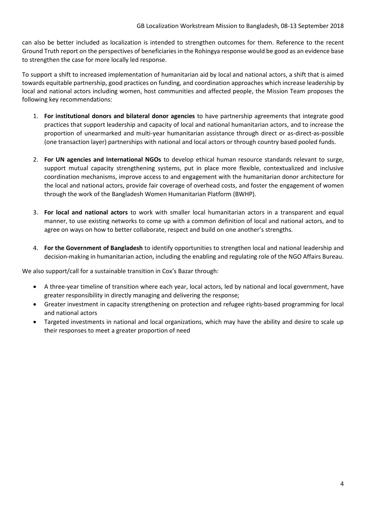can also be better included as localization is intended to strengthen outcomes for them. Reference to the recent Ground Truth report on the perspectives of beneficiaries in the Rohingya response would be good as an evidence base to strengthen the case for more locally led response.

To support a shift to increased implementation of humanitarian aid by local and national actors, a shift that is aimed towards equitable partnership, good practices on funding, and coordination approaches which increase leadership by local and national actors including women, host communities and affected people, the Mission Team proposes the following key recommendations:

- 1. **For institutional donors and bilateral donor agencies** to have partnership agreements that integrate good practices that support leadership and capacity of local and national humanitarian actors, and to increase the proportion of unearmarked and multi-year humanitarian assistance through direct or as-direct-as-possible (one transaction layer) partnerships with national and local actors or through country based pooled funds.
- 2. **For UN agencies and International NGOs** to develop ethical human resource standards relevant to surge, support mutual capacity strengthening systems, put in place more flexible, contextualized and inclusive coordination mechanisms, improve access to and engagement with the humanitarian donor architecture for the local and national actors, provide fair coverage of overhead costs, and foster the engagement of women through the work of the Bangladesh Women Humanitarian Platform (BWHP).
- 3. **For local and national actors** to work with smaller local humanitarian actors in a transparent and equal manner, to use existing networks to come up with a common definition of local and national actors, and to agree on ways on how to better collaborate, respect and build on one another's strengths.
- 4. **For the Government of Bangladesh** to identify opportunities to strengthen local and national leadership and decision-making in humanitarian action, including the enabling and regulating role of the NGO Affairs Bureau.

We also support/call for a sustainable transition in Cox's Bazar through:

- A three-year timeline of transition where each year, local actors, led by national and local government, have greater responsibility in directly managing and delivering the response;
- Greater investment in capacity strengthening on protection and refugee rights-based programming for local and national actors
- Targeted investments in national and local organizations, which may have the ability and desire to scale up their responses to meet a greater proportion of need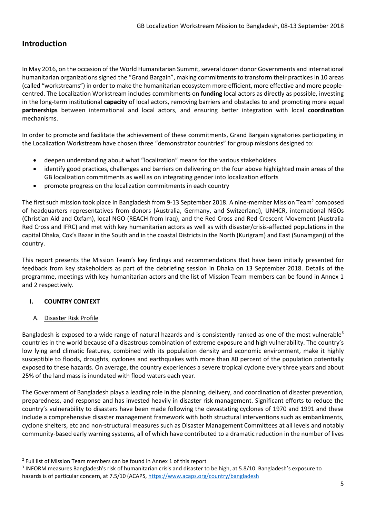## **Introduction**

In May 2016, on the occasion of the World Humanitarian Summit, several dozen donor Governments and international humanitarian organizations signed the "Grand Bargain", making commitments to transform their practices in 10 areas (called "workstreams") in order to make the humanitarian ecosystem more efficient, more effective and more peoplecentred. The Localization Workstream includes commitments on **funding** local actors as directly as possible, investing in the long-term institutional **capacity** of local actors, removing barriers and obstacles to and promoting more equal **partnerships** between international and local actors, and ensuring better integration with local **coordination** mechanisms.

In order to promote and facilitate the achievement of these commitments, Grand Bargain signatories participating in the Localization Workstream have chosen three "demonstrator countries" for group missions designed to:

- deepen understanding about what "localization" means for the various stakeholders
- identify good practices, challenges and barriers on delivering on the four above highlighted main areas of the GB localization commitments as well as on integrating gender into localization efforts
- promote progress on the localization commitments in each country

The first such mission took place in Bangladesh from 9-13 September 2018. A nine-member Mission Team<sup>2</sup> composed of headquarters representatives from donors (Australia, Germany, and Switzerland), UNHCR, international NGOs (Christian Aid and Oxfam), local NGO (REACH from Iraq), and the Red Cross and Red Crescent Movement (Australia Red Cross and IFRC) and met with key humanitarian actors as well as with disaster/crisis-affected populations in the capital Dhaka, Cox's Bazar in the South and in the coastal Districts in the North (Kurigram) and East (Sunamganj) of the country.

This report presents the Mission Team's key findings and recommendations that have been initially presented for feedback from key stakeholders as part of the debriefing session in Dhaka on 13 September 2018. Details of the programme, meetings with key humanitarian actors and the list of Mission Team members can be found in Annex 1 and 2 respectively.

#### **I. COUNTRY CONTEXT**

#### A. Disaster Risk Profile

**.** 

Bangladesh is exposed to a wide range of natural hazards and is consistently ranked as one of the most vulnerable<sup>3</sup> countries in the world because of a disastrous combination of extreme exposure and high vulnerability. The country's low lying and climatic features, combined with its population density and economic environment, make it highly susceptible to floods, droughts, cyclones and earthquakes with more than 80 percent of the population potentially exposed to these hazards. On average, the country experiences a severe tropical cyclone every three years and about 25% of the land mass is inundated with flood waters each year.

The Government of Bangladesh plays a leading role in the planning, delivery, and coordination of disaster prevention, preparedness, and response and has invested heavily in disaster risk management. Significant efforts to reduce the country's vulnerability to disasters have been made following the devastating cyclones of 1970 and 1991 and these include a comprehensive disaster management framework with both structural interventions such as embankments, cyclone shelters, etc and non-structural measures such as Disaster Management Committees at all levels and notably community-based early warning systems, all of which have contributed to a dramatic reduction in the number of lives

<sup>&</sup>lt;sup>2</sup> Full list of Mission Team members can be found in Annex 1 of this report

<sup>&</sup>lt;sup>3</sup> INFORM measures Bangladesh's risk of humanitarian crisis and disaster to be high, at 5.8/10. Bangladesh's exposure to hazards is of particular concern, at 7.5/10 (ACAPS[, https://www.acaps.org/country/bangladesh](https://www.acaps.org/country/bangladesh)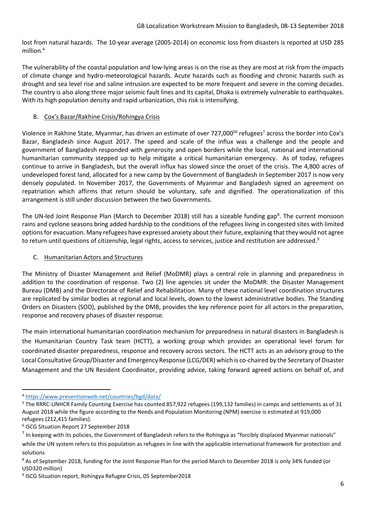lost from natural hazards. The 10-year average (2005-2014) on economic loss from disasters is reported at USD 285 million.<sup>4</sup>

The vulnerability of the coastal population and low-lying areas is on the rise as they are most at risk from the impacts of climate change and hydro-meteorological hazards. Acute hazards such as flooding and chronic hazards such as drought and sea level rise and saline intrusion are expected to be more frequent and severe in the coming decades. The country is also along three major seismic fault lines and its capital, Dhaka is extremely vulnerable to earthquakes. With its high population density and rapid urbanization, this risk is intensifying.

#### B. Cox's Bazar/Rakhine Crisis/Rohingya Crisis

Violence in Rakhine State, Myanmar, has driven an estimate of over 727,000<sup>56</sup> refugees<sup>7</sup> across the border into Cox's Bazar, Bangladesh since August 2017. The speed and scale of the influx was a challenge and the people and government of Bangladesh responded with generosity and open borders while the local, national and international humanitarian community stepped up to help mitigate a critical humanitarian emergency. As of today, refugees continue to arrive in Bangladesh, but the overall influx has slowed since the onset of the crisis. The 4,800 acres of undeveloped forest land, allocated for a new camp by the Government of Bangladesh in September 2017 is now very densely populated. In November 2017, the Governments of Myanmar and Bangladesh signed an agreement on repatriation which affirms that return should be voluntary, safe and dignified. The operationalization of this arrangement is still under discussion between the two Governments.

The UN-led Joint Response Plan (March to December 2018) still has a sizeable funding gap<sup>8</sup>. The current monsoon rains and cyclone seasons bring added hardship to the conditions of the refugees living in congested sites with limited options for evacuation. Many refugees have expressed anxiety about their future, explaining that they would not agree to return until questions of citizenship, legal rights, access to services, justice and restitution are addressed.<sup>9</sup>

#### C. Humanitarian Actors and Structures

The Ministry of Disaster Management and Relief (MoDMR) plays a central role in planning and preparedness in addition to the coordination of response. Two (2) line agencies sit under the MoDMR: the Disaster Management Bureau (DMB) and the Directorate of Relief and Rehabilitation. Many of these national level coordination structures are replicated by similar bodies at regional and local levels, down to the lowest administrative bodies. The Standing Orders on Disasters (SOD), published by the DMB, provides the key reference point for all actors in the preparation, response and recovery phases of disaster response.

The main international humanitarian coordination mechanism for preparedness in natural disasters in Bangladesh is the Humanitarian Country Task team (HCTT), a working group which provides an operational level forum for coordinated disaster preparedness, response and recovery across sectors. The HCTT acts as an advisory group to the Local Consultative Group/Disaster and Emergency Response (LCG/DER) which is co-chaired by the Secretary of Disaster Management and the UN Resident Coordinator, providing advice, taking forward agreed actions on behalf of, and

**<sup>.</sup>** <sup>4</sup> <https://www.preventionweb.net/countries/bgd/data/>

<sup>5</sup> The RRRC-UNHCR Family Counting Exercise has counted 857,922 refugees (199,132 families) in camps and settlements as of 31 August 2018 while the figure according to the Needs and Population Monitoring (NPM) exercise is estimated at 919,000 refugees (212,415 families).

<sup>6</sup> ISCG Situation Report 27 September 2018

<sup>&</sup>lt;sup>7</sup> In keeping with its policies, the Government of Bangladesh refers to the Rohingya as "forcibly displaced Myanmar nationals" while the UN system refers to this population as refugees in line with the applicable international framework for protection and solutions

<sup>8</sup> As of September 2018, funding for the Joint Response Plan for the period March to December 2018 is only 34% funded (or USD320 million)

<sup>9</sup> ISCG Situation report, Rohingya Refugee Crisis, 05 September2018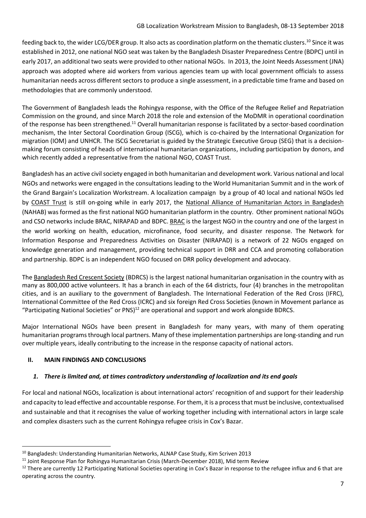feeding back to, the wider LCG/DER group. It also acts as coordination platform on the thematic clusters.<sup>10</sup> Since it was established in 2012, one national NGO seat was taken by the Bangladesh Disaster Preparedness Centre (BDPC) until in early 2017, an additional two seats were provided to other national NGOs. In 2013, the Joint Needs Assessment (JNA) approach was adopted where aid workers from various agencies team up with local government officials to assess humanitarian needs across different sectors to produce a single assessment, in a predictable time frame and based on methodologies that are commonly understood.

The Government of Bangladesh leads the Rohingya response, with the Office of the Refugee Relief and Repatriation Commission on the ground, and since March 2018 the role and extension of the MoDMR in operational coordination of the response has been strengthened.<sup>11</sup> Overall humanitarian response is facilitated by a sector-based coordination mechanism, the Inter Sectoral Coordination Group (ISCG), which is co-chaired by the International Organization for migration (IOM) and UNHCR. The ISCG Secretariat is guided by the Strategic Executive Group (SEG) that is a decisionmaking forum consisting of heads of international humanitarian organizations, including participation by donors, and which recently added a representative from the national NGO, COAST Trust.

Bangladesh has an active civil society engaged in both humanitarian and development work. Various national and local NGOs and networks were engaged in the consultations leading to the World Humanitarian Summit and in the work of the Grand Bargain's Localization Workstream. A localization campaign by a group of 40 local and national NGOs led by [COAST Trust](http://coastbd.net/) is still on-going while in early 2017, the [National Alliance of Humanitarian Actors in Bangladesh](http://www.nahab.net/) (NAHAB) was formed as the first national NGO humanitarian platform in the country. Other prominent national NGOs and CSO networks include BRAC, NIRAPAD and BDPC[. BRAC](http://www.brac.net/) is the largest NGO in the country and one of the largest in the world working on health, education, microfinance, food security, and disaster response. The Network for Information Response and Preparedness Activities on Disaster (NIRAPAD) is a network of 22 NGOs engaged on knowledge generation and management, providing technical support in DRR and CCA and promoting collaboration and partnership. BDPC is an independent NGO focused on DRR policy development and advocacy.

The [Bangladesh Red Crescent Society](http://www.bdrcs.org/) (BDRCS) is the largest national humanitarian organisation in the country with as many as 800,000 active volunteers. It has a branch in each of the 64 districts, four (4) branches in the metropolitan cities, and is an auxiliary to the government of Bangladesh. The International Federation of the Red Cross (IFRC), International Committee of the Red Cross (ICRC) and six foreign Red Cross Societies (known in Movement parlance as "Participating National Societies" or  $PNS$ <sup>12</sup> are operational and support and work alongside BDRCS.

Major International NGOs have been present in Bangladesh for many years, with many of them operating humanitarian programs through local partners. Many of these implementation partnerships are long-standing and run over multiple years, ideally contributing to the increase in the response capacity of national actors.

#### **II. MAIN FINDINGS AND CONCLUSIONS**

1

#### *1. There is limited and, at times contradictory understanding of localization and its end goals*

For local and national NGOs, localization is about international actors' recognition of and support for their leadership and capacity to lead effective and accountable response. For them, it is a process that must be inclusive, contextualised and sustainable and that it recognises the value of working together including with international actors in large scale and complex disasters such as the current Rohingya refugee crisis in Cox's Bazar.

<sup>10</sup> Bangladesh: Understanding Humanitarian Networks, ALNAP Case Study, Kim Scriven 2013

<sup>&</sup>lt;sup>11</sup> Joint Response Plan for Rohingya Humanitarian Crisis (March-December 2018), Mid term Review

<sup>&</sup>lt;sup>12</sup> There are currently 12 Participating National Societies operating in Cox's Bazar in response to the refugee influx and 6 that are operating across the country.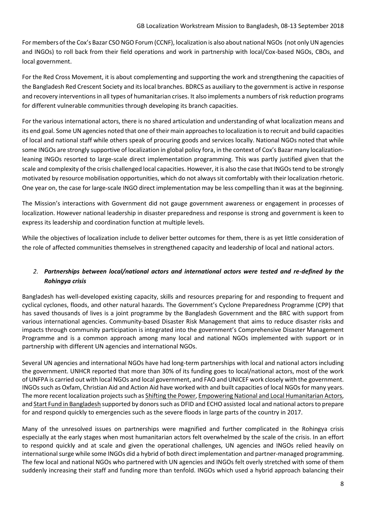For members of the Cox's Bazar CSO NGO Forum (CCNF), localization is also about national NGOs (not only UN agencies and INGOs) to roll back from their field operations and work in partnership with local/Cox-based NGOs, CBOs, and local government.

For the Red Cross Movement, it is about complementing and supporting the work and strengthening the capacities of the Bangladesh Red Crescent Society and its local branches. BDRCS as auxiliary to the government is active in response and recovery interventions in all types of humanitarian crises. It also implements a numbers of risk reduction programs for different vulnerable communities through developing its branch capacities.

For the various international actors, there is no shared articulation and understanding of what localization means and its end goal. Some UN agencies noted that one of their main approaches to localization is to recruit and build capacities of local and national staff while others speak of procuring goods and services locally. National NGOs noted that while some INGOs are strongly supportive of localization in global policy fora, in the context of Cox's Bazar many localizationleaning INGOs resorted to large-scale direct implementation programming. This was partly justified given that the scale and complexity of the crisis challenged local capacities. However, it is also the case that INGOs tend to be strongly motivated by resource mobilisation opportunities, which do not always sit comfortably with their localization rhetoric. One year on, the case for large-scale INGO direct implementation may be less compelling than it was at the beginning.

The Mission's interactions with Government did not gauge government awareness or engagement in processes of localization. However national leadership in disaster preparedness and response is strong and government is keen to express its leadership and coordination function at multiple levels.

While the objectives of localization include to deliver better outcomes for them, there is as yet little consideration of the role of affected communities themselves in strengthened capacity and leadership of local and national actors.

#### *2. Partnerships between local/national actors and international actors were tested and re-defined by the Rohingya crisis*

Bangladesh has well-developed existing capacity, skills and resources preparing for and responding to frequent and cyclical cyclones, floods, and other natural hazards. The Government's Cyclone Preparedness Programme (CPP) that has saved thousands of lives is a joint programme by the Bangladesh Government and the BRC with support from various international agencies. Community-based Disaster Risk Management that aims to reduce disaster risks and impacts through community participation is integrated into the government's Comprehensive Disaster Management Programme and is a common approach among many local and national NGOs implemented with support or in partnership with different UN agencies and international NGOs.

Several UN agencies and international NGOs have had long-term partnerships with local and national actors including the government. UNHCR reported that more than 30% of its funding goes to local/national actors, most of the work of UNFPA is carried out with local NGOs and local government, and FAO and UNICEF work closely with the government. INGOs such as Oxfam, Christian Aid and Action Aid have worked with and built capacities of local NGOs for many years. The more recent localization projects such a[s Shifting the Power,](https://startnetwork.org/start-engage/shifting-the-power) [Empowering National and Local Humanitarian Actors,](https://www.oxfamnovib.nl/donors-partners/about-oxfam/projects-and-programs/elnha.html) and [Start Fund in Bangladesh](https://startnetwork.org/start-fund/national-funds) supported by donors such as DFID and ECHO assisted local and national actors to prepare for and respond quickly to emergencies such as the severe floods in large parts of the country in 2017.

Many of the unresolved issues on partnerships were magnified and further complicated in the Rohingya crisis especially at the early stages when most humanitarian actors felt overwhelmed by the scale of the crisis. In an effort to respond quickly and at scale and given the operational challenges, UN agencies and INGOs relied heavily on international surge while some INGOs did a hybrid of both direct implementation and partner-managed programming. The few local and national NGOs who partnered with UN agencies and INGOs felt overly stretched with some of them suddenly increasing their staff and funding more than tenfold. INGOs which used a hybrid approach balancing their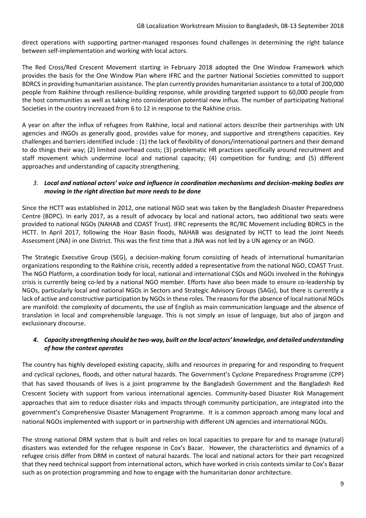direct operations with supporting partner-managed responses found challenges in determining the right balance between self-implementation and working with local actors.

The Red Cross/Red Crescent Movement starting in February 2018 adopted the One Window Framework which provides the basis for the One Window Plan where IFRC and the partner National Societies committed to support BDRCS in providing humanitarian assistance. The plan currently provides humanitarian assistance to a total of 200,000 people from Rakhine through resilience-building response, while providing targeted support to 60,000 people from the host communities as well as taking into consideration potential new influx. The number of participating National Societies in the country increased from 6 to 12 in response to the Rakhine crisis.

A year on after the influx of refugees from Rakhine, local and national actors describe their partnerships with UN agencies and INGOs as generally good, provides value for money, and supportive and strengthens capacities. Key challenges and barriers identified include : (1) the lack of flexibility of donors/international partners and their demand to do things their way; (2) limited overhead costs; (3) problematic HR practices specifically around recruitment and staff movement which undermine local and national capacity; (4) competition for funding; and (5) different approaches and understanding of capacity strengthening.

#### *3. Local and national actors' voice and influence in coordination mechanisms and decision-making bodies are moving in the right direction but more needs to be done*

Since the HCTT was established in 2012, one national NGO seat was taken by the Bangladesh Disaster Preparedness Centre (BDPC). In early 2017, as a result of advocacy by local and national actors, two additional two seats were provided to national NGOs (NAHAB and COAST Trust). IFRC represents the RC/RC Movement including BDRCS in the HCTT. In April 2017, following the Hoar Basin floods, NAHAB was designated by HCTT to lead the Joint Needs Assessment (JNA) in one District. This was the first time that a JNA was not led by a UN agency or an INGO.

The Strategic Executive Group (SEG), a decision-making forum consisting of heads of international humanitarian organizations responding to the Rakhine crisis, recently added a representative from the national NGO, COAST Trust. The NGO Platform, a coordination body for local, national and international CSOs and NGOs involved in the Rohingya crisis is currently being co-led by a national NGO member. Efforts have also been made to ensure co-leadership by NGOs, particularly local and national NGOs in Sectors and Strategic Advisory Groups (SAGs), but there is currently a lack of active and constructive participation by NGOs in these roles. The reasons for the absence of local national NGOs are manifold: the complexity of documents, the use of English as main communication language and the absence of translation in local and comprehensible language. This is not simply an issue of language, but also of jargon and exclusionary discourse.

#### *4. Capacity strengthening should be two-way, built on the local actors' knowledge, and detailed understanding of how the context operates*

The country has highly developed existing capacity, skills and resources in preparing for and responding to frequent and cyclical cyclones, floods, and other natural hazards. The Government's Cyclone Preparedness Programme (CPP) that has saved thousands of lives is a joint programme by the Bangladesh Government and the Bangladesh Red Crescent Society with support from various international agencies. Community-based Disaster Risk Management approaches that aim to reduce disaster risks and impacts through community participation, are integrated into the government's Comprehensive Disaster Management Programme. It is a common approach among many local and national NGOs implemented with support or in partnership with different UN agencies and international NGOs.

The strong national DRM system that is built and relies on local capacities to prepare for and to manage (natural) disasters was extended for the refugee response in Cox's Bazar. However, the characteristics and dynamics of a refugee crisis differ from DRM in context of natural hazards. The local and national actors for their part recognized that they need technical support from international actors, which have worked in crisis contexts similar to Cox's Bazar such as on protection programming and how to engage with the humanitarian donor architecture.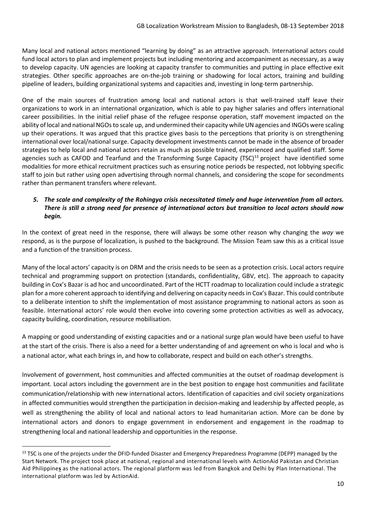Many local and national actors mentioned "learning by doing" as an attractive approach. International actors could fund local actors to plan and implement projects but including mentoring and accompaniment as necessary, as a way to develop capacity. UN agencies are looking at capacity transfer to communities and putting in place effective exit strategies. Other specific approaches are on-the-job training or shadowing for local actors, training and building pipeline of leaders, building organizational systems and capacities and, investing in long-term partnership.

One of the main sources of frustration among local and national actors is that well-trained staff leave their organizations to work in an international organization, which is able to pay higher salaries and offers international career possibilities. In the initial relief phase of the refugee response operation, staff movement impacted on the ability of local and national NGOs to scale up, and undermined their capacity while UN agencies and INGOs were scaling up their operations. It was argued that this practice gives basis to the perceptions that priority is on strengthening international over local/national surge. Capacity development investments cannot be made in the absence of broader strategies to help local and national actors retain as much as possible trained, experienced and qualified staff. Some agencies such as CAFOD and Tearfund and the Transforming Surge Capacity (TSC)<sup>13</sup> project have identified some modalities for more ethical recruitment practices such as ensuring notice periods be respected, not lobbying specific staff to join but rather using open advertising through normal channels, and considering the scope for secondments rather than permanent transfers where relevant.

#### *5. The scale and complexity of the Rohingya crisis necessitated timely and huge intervention from all actors. There is still a strong need for presence of international actors but transition to local actors should now begin.*

In the context of great need in the response, there will always be some other reason why changing the *way* we respond, as is the purpose of localization, is pushed to the background. The Mission Team saw this as a critical issue and a function of the transition process.

Many of the local actors' capacity is on DRM and the crisis needs to be seen as a protection crisis. Local actors require technical and programming support on protection (standards, confidentiality, GBV, etc). The approach to capacity building in Cox's Bazar is ad hoc and uncoordinated. Part of the HCTT roadmap to localization could include a strategic plan for a more coherent approach to identifying and delivering on capacity needs in Cox's Bazar. This could contribute to a deliberate intention to shift the implementation of most assistance programming to national actors as soon as feasible. International actors' role would then evolve into covering some protection activities as well as advocacy, capacity building, coordination, resource mobilisation.

A mapping or good understanding of existing capacities and or a national surge plan would have been useful to have at the start of the crisis. There is also a need for a better understanding of and agreement on who is local and who is a national actor, what each brings in, and how to collaborate, respect and build on each other's strengths.

Involvement of government, host communities and affected communities at the outset of roadmap development is important. Local actors including the government are in the best position to engage host communities and facilitate communication/relationship with new international actors. Identification of capacities and civil society organizations in affected communities would strengthen the participation in decision-making and leadership by affected people, as well as strengthening the ability of local and national actors to lead humanitarian action. More can be done by international actors and donors to engage government in endorsement and engagement in the roadmap to strengthening local and national leadership and opportunities in the response.

1

<sup>&</sup>lt;sup>13</sup> TSC is one of the projects under the DFID-funded Disaster and Emergency Preparedness Programme (DEPP) managed by the Start Network. The project took place at national, regional and international levels with [ActionAid Pakistan](http://www.actionaid.org/pakistan) and [Christian](http://www.christianaid.org.uk/whatwedo/asia/philippines.aspx)  [Aid Philippine](http://www.christianaid.org.uk/whatwedo/asia/philippines.aspx)**s** as the national actors. The regional platform was led from Bangkok and Delhi by [Plan International.](https://plan-international.org/) The international platform was led by [ActionAid.](https://www.actionaid.org.uk/)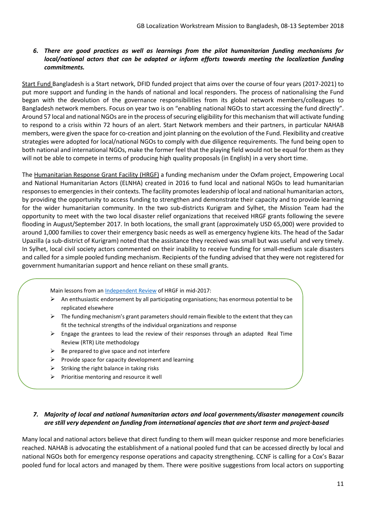#### *6. There are good practices as well as learnings from the pilot humanitarian funding mechanisms for local/national actors that can be adapted or inform efforts towards meeting the localization funding commitments.*

[Start Fund](https://startnetwork.org/start-fund/national-funds) Bangladesh is a Start network, DFID funded project that aims over the course of four years (2017-2021) to put more support and funding in the hands of national and local responders. The process of nationalising the Fund began with the devolution of the governance responsibilities from its global network members/colleagues to Bangladesh network members. Focus on year two is on "enabling national NGOs to start accessing the fund directly". Around 57 local and national NGOs are in the process of securing eligibility for this mechanism that will activate funding to respond to a crisis within 72 hours of an alert. Start Network members and their partners, in particular NAHAB members, were given the space for co-creation and joint planning on the evolution of the Fund. Flexibility and creative strategies were adopted for local/national NGOs to comply with due diligence requirements. The fund being open to both national and international NGOs, make the former feel that the playing field would not be equal for them as they will not be able to compete in terms of producing high quality proposals (in English) in a very short time.

The [Humanitarian Response Grant Facility \(HRGF\)](https://www.oxfamnovib.nl/donors-partners/about-oxfam/projects-and-programs/elnha/a-better-response-through-local-participation-the-bangladesh-floods) a funding mechanism under the Oxfam project, Empowering Local and National Humanitarian Actors (ELNHA) created in 2016 to fund local and national NGOs to lead humanitarian responses to emergencies in their contexts. The facility promotes leadership of local and national humanitarian actors, by providing the opportunity to access funding to strengthen and demonstrate their capacity and to provide learning for the wider humanitarian community. In the two sub-districts Kurigram and Sylhet, the Mission Team had the opportunity to meet with the two local disaster relief organizations that received HRGF grants following the severe flooding in August/September 2017. In both locations, the small grant (approximately USD 65,000) were provided to around 1,000 families to cover their emergency basic needs as well as emergency hygiene kits. The head of the Sadar Upazilla (a sub-district of Kurigram) noted that the assistance they received was small but was useful and very timely. In Sylhet, local civil society actors commented on their inability to receive funding for small-medium scale disasters and called for a simple pooled funding mechanism. Recipients of the funding advised that they were not registered for government humanitarian support and hence reliant on these small grants.

Main lessons from an **Independent Review** of HRGF in mid-2017:

- ➢ An enthusiastic endorsement by all participating organisations; has enormous potential to be replicated elsewhere
- $\triangleright$  The funding mechanism's grant parameters should remain flexible to the extent that they can fit the technical strengths of the individual organizations and response
- $\triangleright$  Engage the grantees to lead the review of their responses through an adapted Real Time Review (RTR) Lite methodology
- $\triangleright$  Be prepared to give space and not interfere
- ➢ Provide space for capacity development and learning

➢ Identify funding opportunities for local actors beyond the HRGF

- $\triangleright$  Striking the right balance in taking risks
- $\triangleright$  Prioritise mentoring and resource it well

#### *7. Majority of local and national humanitarian actors and local governments/disaster management councils are still very dependent on funding from international agencies that are short term and project-based*

Many local and national actors believe that direct funding to them will mean quicker response and more beneficiaries reached. NAHAB is advocating the establishment of a national pooled fund that can be accessed directly by local and national NGOs both for emergency response operations and capacity strengthening. CCNF is calling for a Cox's Bazar pooled fund for local actors and managed by them. There were positive suggestions from local actors on supporting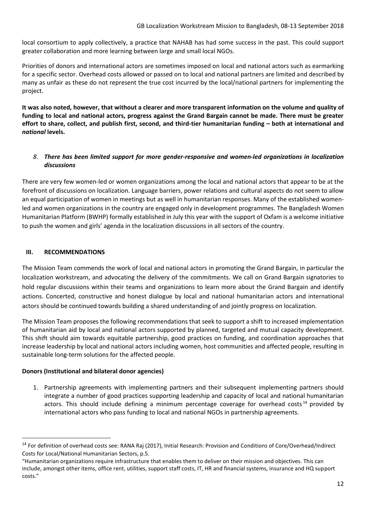local consortium to apply collectively, a practice that NAHAB has had some success in the past. This could support greater collaboration and more learning between large and small local NGOs.

Priorities of donors and international actors are sometimes imposed on local and national actors such as earmarking for a specific sector. Overhead costs allowed or passed on to local and national partners are limited and described by many as unfair as these do not represent the true cost incurred by the local/national partners for implementing the project.

**It was also noted, however, that without a clearer and more transparent information on the volume and quality of funding to local and national actors, progress against the Grand Bargain cannot be made. There must be greater effort to share, collect, and publish first, second, and third-tier humanitarian funding – both at international and**  *national* **levels.** 

#### *8. There has been limited support for more gender-responsive and women-led organizations in localization discussions*

There are very few women-led or women organizations among the local and national actors that appear to be at the forefront of discussions on localization. Language barriers, power relations and cultural aspects do not seem to allow an equal participation of women in meetings but as well in humanitarian responses. Many of the established womenled and women organizations in the country are engaged only in development programmes. The Bangladesh Women Humanitarian Platform (BWHP) formally established in July this year with the support of Oxfam is a welcome initiative to push the women and girls' agenda in the localization discussions in all sectors of the country.

#### **III. RECOMMENDATIONS**

 $\overline{a}$ 

The Mission Team commends the work of local and national actors in promoting the Grand Bargain, in particular the localization workstream, and advocating the delivery of the commitments. We call on Grand Bargain signatories to hold regular discussions within their teams and organizations to learn more about the Grand Bargain and identify actions. Concerted, constructive and honest dialogue by local and national humanitarian actors and international actors should be continued towards building a shared understanding of and jointly progress on localization.

The Mission Team proposes the following recommendations that seek to support a shift to increased implementation of humanitarian aid by local and national actors supported by planned, targeted and mutual capacity development. This shift should aim towards equitable partnership, good practices on funding, and coordination approaches that increase leadership by local and national actors including women, host communities and affected people, resulting in sustainable long-term solutions for the affected people.

#### **Donors (Institutional and bilateral donor agencies)**

1. Partnership agreements with implementing partners and their subsequent implementing partners should integrate a number of good practices supporting leadership and capacity of local and national humanitarian actors. This should include defining a minimum percentage coverage for overhead costs<sup>14</sup> provided by international actors who pass funding to local and national NGOs in partnership agreements.

<sup>&</sup>lt;sup>14</sup> For definition of overhead costs see: RANA Raj (2017), Initial Research: Provision and Conditions of Core/Overhead/Indirect Costs for Local/National Humanitarian Sectors, p.5.

<sup>&</sup>quot;Humanitarian organizations require infrastructure that enables them to deliver on their mission and objectives. This can include, amongst other items, office rent, utilities, support staff costs, IT, HR and financial systems, insurance and HQ support costs."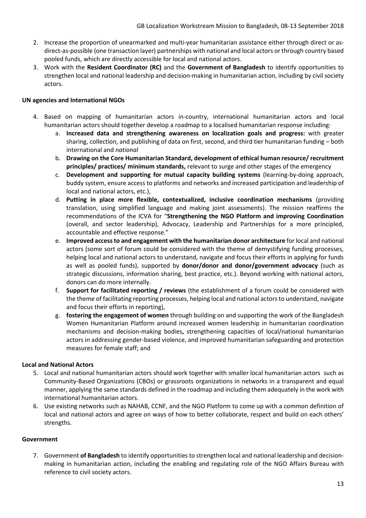- 2. Increase the proportion of unearmarked and multi-year humanitarian assistance either through direct or asdirect-as-possible (one transaction layer) partnerships with national and local actors or through country based pooled funds, which are directly accessible for local and national actors.
- 3. Work with the **Resident Coordinator (RC)** and the **Government of Bangladesh** to identify opportunities to strengthen local and national leadership and decision-making in humanitarian action, including by civil society actors.

#### **UN agencies and International NGOs**

- 4. Based on mapping of humanitarian actors in-country, international humanitarian actors and local humanitarian actors should together develop a roadmap to a localised humanitarian response including:
	- a. **Increased data and strengthening awareness on localization goals and progress:** with greater sharing, collection, and publishing of data on first, second, and third tier humanitarian funding – both international and *national*
	- b. **Drawing on the Core Humanitarian Standard, development of ethical human resource/ recruitment principles/ practices/ minimum standards,** relevant to surge and other stages of the emergency
	- c. **Development and supporting for mutual capacity building systems** (learning-by-doing approach, buddy system, ensure access to platforms and networks and increased participation and leadership of local and national actors, etc.),
	- d. **Putting in place more flexible, contextualized, inclusive coordination mechanisms** (providing translation, using simplified language and making joint assessments). The mission reaffirms the recommendations of the ICVA for "**Strengthening the NGO Platform and improving Coordination** (overall, and sector leadership), Advocacy, Leadership and Partnerships for a more principled, accountable and effective response."
	- e. **Improved access to and engagement with the humanitarian donor architecture** for local and national actors (some sort of forum could be considered with the theme of demystifying funding processes, helping local and national actors to understand, navigate and focus their efforts in applying for funds as well as pooled funds), supported by **donor/donor and donor/government advocacy** (such as strategic discussions, information sharing, best practice, etc.). Beyond working with national actors, donors can do more internally.
	- f. **Support for facilitated reporting / reviews** (the establishment of a forum could be considered with the theme of facilitating reporting processes, helping local and national actors to understand, navigate and focus their efforts in reporting),
	- g. **fostering the engagement of women** through building on and supporting the work of the Bangladesh Women Humanitarian Platform around increased women leadership in humanitarian coordination mechanisms and decision-making bodies**,** strengthening capacities of local/national humanitarian actors in addressing gender-based violence, and improved humanitarian safeguarding and protection measures for female staff; and

#### **Local and National Actors**

- 5. Local and national humanitarian actors should work together with smaller local humanitarian actors such as Community-Based Organizations (CBOs) or grassroots organizations in networks in a transparent and equal manner, applying the same standards defined in the roadmap and including them adequately in the work with international humanitarian actors.
- 6. Use existing networks such as NAHAB, CCNF, and the NGO Platform to come up with a common definition of local and national actors and agree on ways of how to better collaborate, respect and build on each others' strengths.

#### **Government**

7. Government **of Bangladesh** to identify opportunities to strengthen local and national leadership and decisionmaking in humanitarian action, including the enabling and regulating role of the NGO Affairs Bureau with reference to civil society actors.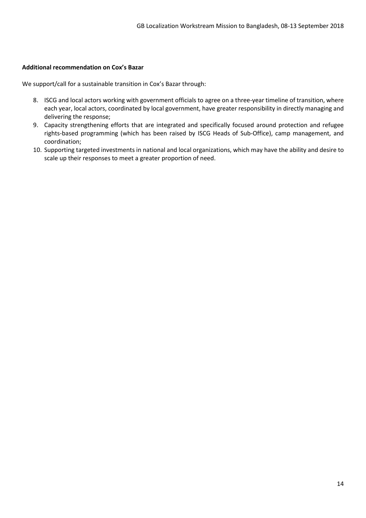#### **Additional recommendation on Cox's Bazar**

We support/call for a sustainable transition in Cox's Bazar through:

- 8. ISCG and local actors working with government officials to agree on a three-year timeline of transition, where each year, local actors, coordinated by local government, have greater responsibility in directly managing and delivering the response;
- 9. Capacity strengthening efforts that are integrated and specifically focused around protection and refugee rights-based programming (which has been raised by ISCG Heads of Sub-Office), camp management, and coordination;
- 10. Supporting targeted investments in national and local organizations, which may have the ability and desire to scale up their responses to meet a greater proportion of need.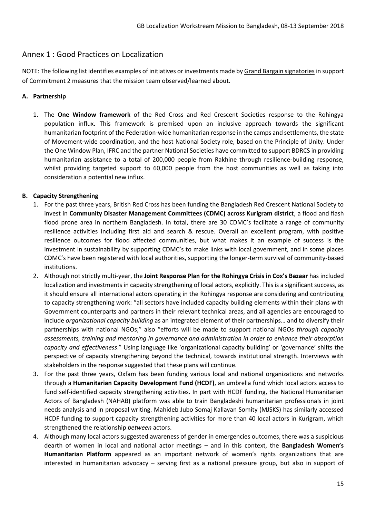## Annex 1 : Good Practices on Localization

NOTE: The following list identifies examples of initiatives or investments made by Grand Bargain signatories in support of Commitment 2 measures that the mission team observed/learned about.

#### **A. Partnership**

1. The **One Window framework** of the Red Cross and Red Crescent Societies response to the Rohingya population influx. This framework is premised upon an inclusive approach towards the significant humanitarian footprint of the Federation-wide humanitarian response in the camps and settlements, the state of Movement-wide coordination, and the host National Society role, based on the Principle of Unity. Under the One Window Plan, IFRC and the partner National Societies have committed to support BDRCS in providing humanitarian assistance to a total of 200,000 people from Rakhine through resilience-building response, whilst providing targeted support to 60,000 people from the host communities as well as taking into consideration a potential new influx.

#### **B. Capacity Strengthening**

- 1. For the past three years, British Red Cross has been funding the Bangladesh Red Crescent National Society to invest in **Community Disaster Management Committees (CDMC) across Kurigram district**, a flood and flash flood prone area in northern Bangladesh. In total, there are 30 CDMC's facilitate a range of community resilience activities including first aid and search & rescue. Overall an excellent program, with positive resilience outcomes for flood affected communities, but what makes it an example of success is the investment in sustainability by supporting CDMC's to make links with local government, and in some places CDMC's have been registered with local authorities, supporting the longer-term survival of community-based institutions.
- 2. Although not strictly multi-year, the **Joint Response Plan for the Rohingya Crisis in Cox's Bazaar** has included localization and investments in capacity strengthening of local actors, explicitly. This is a significant success, as it should ensure all international actors operating in the Rohingya response are considering and contributing to capacity strengthening work: "all sectors have included capacity building elements within their plans with Government counterparts and partners in their relevant technical areas, and all agencies are encouraged to include *organizational capacity building* as an integrated element of their partnerships… and to diversify their partnerships with national NGOs;" also "efforts will be made to support national NGOs *through capacity assessments, training and mentoring in governance and administration in order to enhance their absorption capacity and effectiveness*." Using language like 'organizational capacity building' or 'governance' shifts the perspective of capacity strengthening beyond the technical, towards institutional strength. Interviews with stakeholders in the response suggested that these plans will continue.
- 3. For the past three years, Oxfam has been funding various local and national organizations and networks through a **Humanitarian Capacity Development Fund (HCDF)**, an umbrella fund which local actors access to fund self-identified capacity strengthening activities. In part with HCDF funding, the National Humanitarian Actors of Bangladesh (NAHAB) platform was able to train Bangladeshi humanitarian professionals in joint needs analysis and in proposal writing. Mahideb Jubo Somaj Kallayan Somity (MJSKS) has similarly accessed HCDF funding to support capacity strengthening activities for more than 40 local actors in Kurigram, which strengthened the relationship *between* actors.
- 4. Although many local actors suggested awareness of gender in emergencies outcomes, there was a suspicious dearth of women in local and national actor meetings – and in this context, the **Bangladesh Women's Humanitarian Platform** appeared as an important network of women's rights organizations that are interested in humanitarian advocacy – serving first as a national pressure group, but also in support of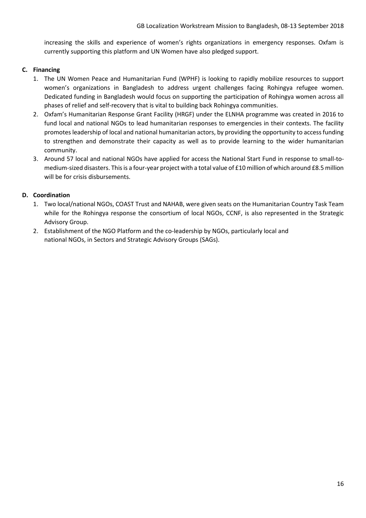increasing the skills and experience of women's rights organizations in emergency responses. Oxfam is currently supporting this platform and UN Women have also pledged support.

#### **C. Financing**

- 1. The UN Women Peace and Humanitarian Fund (WPHF) is looking to rapidly mobilize resources to support women's organizations in Bangladesh to address urgent challenges facing Rohingya refugee women. Dedicated funding in Bangladesh would focus on supporting the participation of Rohingya women across all phases of relief and self-recovery that is vital to building back Rohingya communities.
- 2. Oxfam's Humanitarian Response Grant Facility (HRGF) under the ELNHA programme was created in 2016 to fund local and national NGOs to lead humanitarian responses to emergencies in their contexts. The facility promotes leadership of local and national humanitarian actors, by providing the opportunity to access funding to strengthen and demonstrate their capacity as well as to provide learning to the wider humanitarian community.
- 3. Around 57 local and national NGOs have applied for access the National Start Fund in response to small-tomedium-sized disasters. This is a four-year project with a total value of £10 million of which around £8.5 million will be for crisis disbursements.

#### **D. Coordination**

- 1. Two local/national NGOs, COAST Trust and NAHAB, were given seats on the Humanitarian Country Task Team while for the Rohingya response the consortium of local NGOs, CCNF, is also represented in the Strategic Advisory Group.
- 2. Establishment of the NGO Platform and the co-leadership by NGOs, particularly local and national NGOs, in Sectors and Strategic Advisory Groups (SAGs).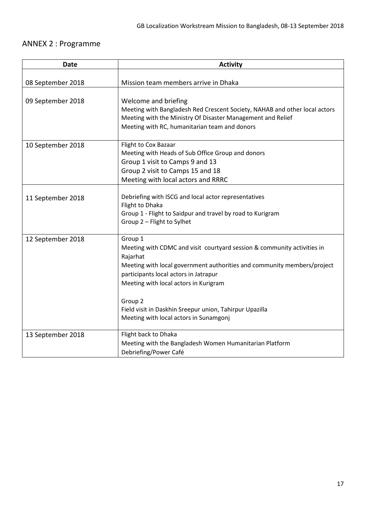## ANNEX 2 : Programme

| <b>Date</b>       | <b>Activity</b>                                                                                                                                                                                                                                                                                                                                                                        |
|-------------------|----------------------------------------------------------------------------------------------------------------------------------------------------------------------------------------------------------------------------------------------------------------------------------------------------------------------------------------------------------------------------------------|
| 08 September 2018 | Mission team members arrive in Dhaka                                                                                                                                                                                                                                                                                                                                                   |
| 09 September 2018 | Welcome and briefing<br>Meeting with Bangladesh Red Crescent Society, NAHAB and other local actors<br>Meeting with the Ministry Of Disaster Management and Relief<br>Meeting with RC, humanitarian team and donors                                                                                                                                                                     |
| 10 September 2018 | Flight to Cox Bazaar<br>Meeting with Heads of Sub Office Group and donors<br>Group 1 visit to Camps 9 and 13<br>Group 2 visit to Camps 15 and 18<br>Meeting with local actors and RRRC                                                                                                                                                                                                 |
| 11 September 2018 | Debriefing with ISCG and local actor representatives<br>Flight to Dhaka<br>Group 1 - Flight to Saidpur and travel by road to Kurigram<br>Group 2 - Flight to Sylhet                                                                                                                                                                                                                    |
| 12 September 2018 | Group 1<br>Meeting with CDMC and visit courtyard session & community activities in<br>Rajarhat<br>Meeting with local government authorities and community members/project<br>participants local actors in Jatrapur<br>Meeting with local actors in Kurigram<br>Group <sub>2</sub><br>Field visit in Daskhin Sreepur union, Tahirpur Upazilla<br>Meeting with local actors in Sunamgonj |
| 13 September 2018 | Flight back to Dhaka<br>Meeting with the Bangladesh Women Humanitarian Platform<br>Debriefing/Power Café                                                                                                                                                                                                                                                                               |